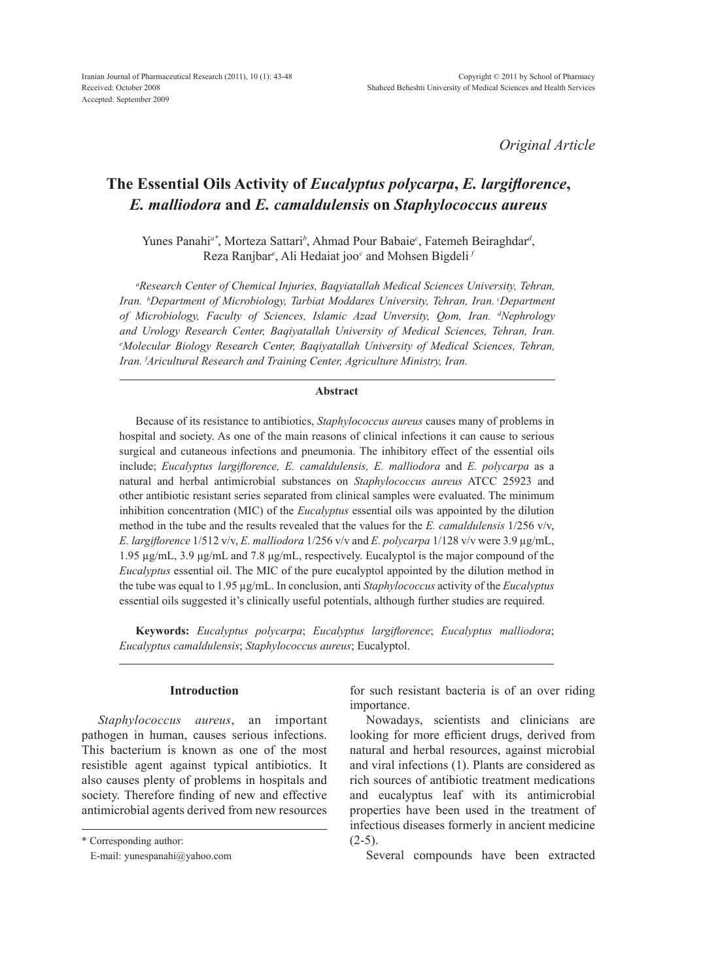*Original Article*

# **The Essential Oils Activity of** *Eucalyptus polycarpa***,** *E. largiflorence***,**  *E. malliodora* **and** *E. camaldulensis* **on** *Staphylococcus aureus*

Yunes Panahi*a\**, Morteza Sattari*<sup>b</sup>* , Ahmad Pour Babaie*<sup>c</sup>* , Fatemeh Beiraghdar*<sup>d</sup>* , Reza Ranjbar*<sup>e</sup>* , Ali Hedaiat joo*<sup>c</sup>* and Mohsen Bigdeli *<sup>f</sup>*

*a Research Center of Chemical Injuries, Baqyiatallah Medical Sciences University, Tehran, Iran. <sup>b</sup> Department of Microbiology, Tarbiat Moddares University, Tehran, Iran. cDepartment of Microbiology, Faculty of Sciences, Islamic Azad Unversity, Qom, Iran. d Nephrology and Urology Research Center, Baqiyatallah University of Medical Sciences, Tehran, Iran. e Molecular Biology Research Center, Baqiyatallah University of Medical Sciences, Tehran, Iran. f Aricultural Research and Training Center, Agriculture Ministry, Iran.*

## **Abstract**

Because of its resistance to antibiotics, *Staphylococcus aureus* causes many of problems in hospital and society. As one of the main reasons of clinical infections it can cause to serious surgical and cutaneous infections and pneumonia. The inhibitory effect of the essential oils include; *Eucalyptus largiflorence, E. camaldulensis, E. malliodora* and *E. polycarpa* as a natural and herbal antimicrobial substances on *Staphylococcus aureus* ATCC 25923 and other antibiotic resistant series separated from clinical samples were evaluated. The minimum inhibition concentration (MIC) of the *Eucalyptus* essential oils was appointed by the dilution method in the tube and the results revealed that the values for the *E. camaldulensis* 1/256 v/v, *E. largiflorence* 1/512 v/v, *E. malliodora* 1/256 v/v and *E. polycarpa* 1/128 v/v were 3.9 µg/mL, 1.95 µg/mL, 3.9 μg/mL and 7.8 μg/mL, respectively. Eucalyptol is the major compound of the *Eucalyptus* essential oil. The MIC of the pure eucalyptol appointed by the dilution method in the tube was equal to 1.95 µg/mL. In conclusion, anti *Staphylococcus* activity of the *Eucalyptus* essential oils suggested it's clinically useful potentials, although further studies are required.

**Keywords:** *Eucalyptus polycarpa*; *Eucalyptus largiflorence*; *Eucalyptus malliodora*; *Eucalyptus camaldulensis*; *Staphylococcus aureus*; Eucalyptol.

## **Introduction**

*Staphylococcus aureus*, an important pathogen in human, causes serious infections. This bacterium is known as one of the most resistible agent against typical antibiotics. It also causes plenty of problems in hospitals and society. Therefore finding of new and effective antimicrobial agents derived from new resources

\* Corresponding author:

for such resistant bacteria is of an over riding importance.

Nowadays, scientists and clinicians are looking for more efficient drugs, derived from natural and herbal resources, against microbial and viral infections (1). Plants are considered as rich sources of antibiotic treatment medications and eucalyptus leaf with its antimicrobial properties have been used in the treatment of infectious diseases formerly in ancient medicine  $(2-5)$ .

Several compounds have been extracted

E-mail: yunespanahi@yahoo.com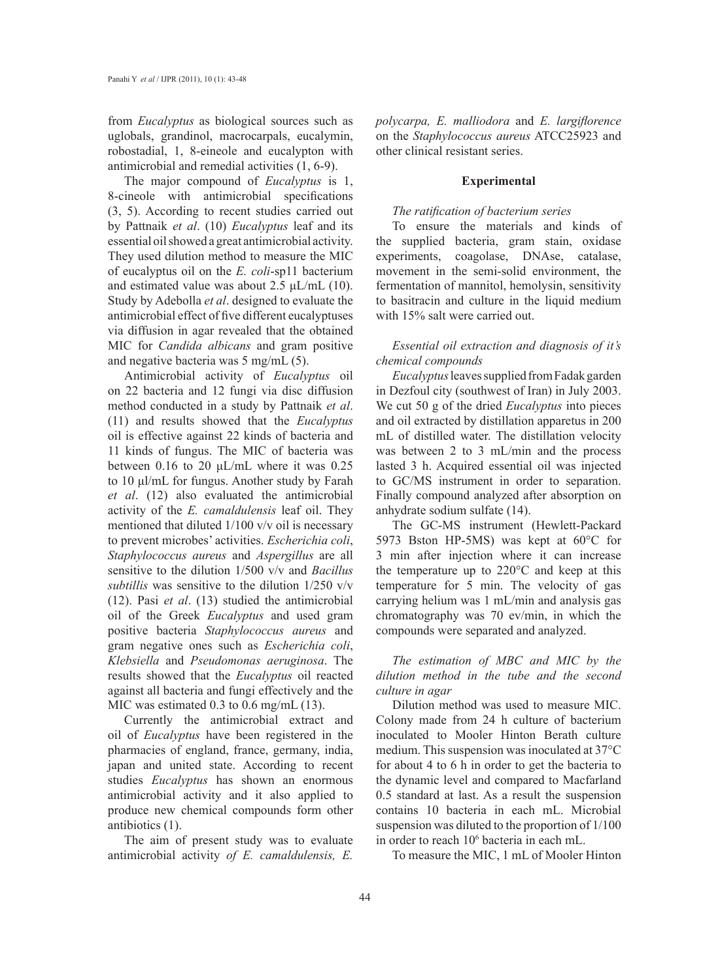from *Eucalyptus* as biological sources such as uglobals, grandinol, macrocarpals, eucalymin, robostadial, 1, 8-eineole and eucalypton with antimicrobial and remedial activities (1, 6-9).

The major compound of *Eucalyptus* is 1, 8-cineole with antimicrobial specifications (3, 5). According to recent studies carried out by Pattnaik *et al*. (10) *Eucalyptus* leaf and its essential oil showed a great antimicrobial activity. They used dilution method to measure the MIC of eucalyptus oil on the *E. coli*-sp11 bacterium and estimated value was about 2.5  $\mu$ L/mL (10). Study by Adebolla *et al*. designed to evaluate the antimicrobial effect of five different eucalyptuses via diffusion in agar revealed that the obtained MIC for *Candida albicans* and gram positive and negative bacteria was 5 mg/mL (5).

Antimicrobial activity of *Eucalyptus* oil on 22 bacteria and 12 fungi via disc diffusion method conducted in a study by Pattnaik *et al*. (11) and results showed that the *Eucalyptus* oil is effective against 22 kinds of bacteria and 11 kinds of fungus. The MIC of bacteria was between 0.16 to 20 μL/mL where it was 0.25 to 10 μl/mL for fungus. Another study by Farah *et al*. (12) also evaluated the antimicrobial activity of the *E. camaldulensis* leaf oil. They mentioned that diluted 1/100 v/v oil is necessary to prevent microbes' activities. *Escherichia coli*, *Staphylococcus aureus* and *Aspergillus* are all sensitive to the dilution 1/500 v/v and *Bacillus subtillis* was sensitive to the dilution 1/250 v/v (12). Pasi *et al*. (13) studied the antimicrobial oil of the Greek *Eucalyptus* and used gram positive bacteria *Staphylococcus aureus* and gram negative ones such as *Escherichia coli*, *Klebsiella* and *Pseudomonas aeruginosa*. The results showed that the *Eucalyptus* oil reacted against all bacteria and fungi effectively and the MIC was estimated 0.3 to 0.6 mg/mL (13).

Currently the antimicrobial extract and oil of *Eucalyptus* have been registered in the pharmacies of england, france, germany, india, japan and united state. According to recent studies *Eucalyptus* has shown an enormous antimicrobial activity and it also applied to produce new chemical compounds form other antibiotics (1).

The aim of present study was to evaluate antimicrobial activity *of E. camaldulensis, E.* 

*polycarpa, E. malliodora* and *E. largiflorence* on the *Staphylococcus aureus* ATCC25923 and other clinical resistant series.

## **Experimental**

## *The ratification of bacterium series*

To ensure the materials and kinds of the supplied bacteria, gram stain, oxidase experiments, coagolase, DNAse, catalase, movement in the semi-solid environment, the fermentation of mannitol, hemolysin, sensitivity to basitracin and culture in the liquid medium with 15% salt were carried out.

## *Essential oil extraction and diagnosis of it's chemical compounds*

*Eucalyptus* leaves supplied from Fadak garden in Dezfoul city (southwest of Iran) in July 2003. We cut 50 g of the dried *Eucalyptus* into pieces and oil extracted by distillation apparetus in 200 mL of distilled water. The distillation velocity was between 2 to 3 mL/min and the process lasted 3 h. Acquired essential oil was injected to GC/MS instrument in order to separation. Finally compound analyzed after absorption on anhydrate sodium sulfate (14).

The GC-MS instrument (Hewlett-Packard 5973 Bston HP-5MS) was kept at 60°C for 3 min after injection where it can increase the temperature up to 220°C and keep at this temperature for 5 min. The velocity of gas carrying helium was 1 mL/min and analysis gas chromatography was 70 ev/min, in which the compounds were separated and analyzed.

*The estimation of MBC and MIC by the dilution method in the tube and the second culture in agar*

Dilution method was used to measure MIC. Colony made from 24 h culture of bacterium inoculated to Mooler Hinton Berath culture medium. This suspension was inoculated at 37°C for about 4 to 6 h in order to get the bacteria to the dynamic level and compared to Macfarland 0.5 standard at last. As a result the suspension contains 10 bacteria in each mL. Microbial suspension was diluted to the proportion of 1/100 in order to reach 106 bacteria in each mL.

To measure the MIC, 1 mL of Mooler Hinton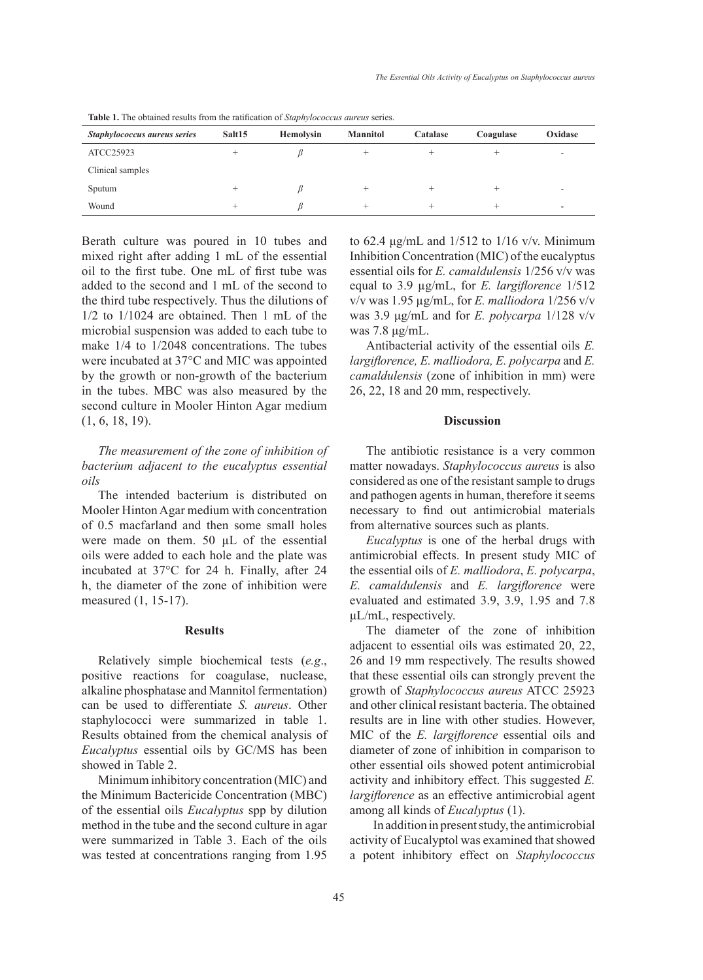| Staphylococcus aureus series | Salt15 | <b>Hemolysin</b> | <b>Mannitol</b> | Catalase | Coagulase | Oxidase |
|------------------------------|--------|------------------|-----------------|----------|-----------|---------|
| ATCC25923                    |        |                  |                 |          |           | -       |
| Clinical samples             |        |                  |                 |          |           |         |
| Sputum                       |        |                  |                 |          |           |         |
| Wound                        |        |                  |                 |          |           |         |

**Table 1.** The obtained results from the ratification of *Staphylococcus aureus* series.

Berath culture was poured in 10 tubes and mixed right after adding 1 mL of the essential oil to the first tube. One mL of first tube was added to the second and 1 mL of the second to the third tube respectively. Thus the dilutions of 1/2 to 1/1024 are obtained. Then 1 mL of the microbial suspension was added to each tube to make 1/4 to 1/2048 concentrations. The tubes were incubated at 37°C and MIC was appointed by the growth or non-growth of the bacterium in the tubes. MBC was also measured by the second culture in Mooler Hinton Agar medium (1, 6, 18, 19).

# *The measurement of the zone of inhibition of bacterium adjacent to the eucalyptus essential oils*

The intended bacterium is distributed on Mooler Hinton Agar medium with concentration of 0.5 macfarland and then some small holes were made on them. 50 µL of the essential oils were added to each hole and the plate was incubated at 37°C for 24 h. Finally, after 24 h, the diameter of the zone of inhibition were measured (1, 15-17).

## **Results**

Relatively simple biochemical tests (*e.g*., positive reactions for coagulase, nuclease, alkaline phosphatase and Mannitol fermentation) can be used to differentiate *S. aureus*. Other staphylococci were summarized in table 1. Results obtained from the chemical analysis of *Eucalyptus* essential oils by GC/MS has been showed in Table 2.

Minimum inhibitory concentration (MIC) and the Minimum Bactericide Concentration (MBC) of the essential oils *Eucalyptus* spp by dilution method in the tube and the second culture in agar were summarized in Table 3. Each of the oils was tested at concentrations ranging from 1.95 to 62.4 μg/mL and  $1/512$  to  $1/16$  v/v. Minimum Inhibition Concentration (MIC) of the eucalyptus essential oils for *E. camaldulensis* 1/256 v/v was equal to 3.9 µg/mL, for *E. largiflorence* 1/512 v/v was 1.95 µg/mL, for *E. malliodora* 1/256 v/v was 3.9 μg/mL and for *E. polycarpa* 1/128 v/v was 7.8 μg/mL.

Antibacterial activity of the essential oils *E. largiflorence, E. malliodora, E. polycarpa* and *E. camaldulensis* (zone of inhibition in mm) were 26, 22, 18 and 20 mm, respectively.

#### **Discussion**

The antibiotic resistance is a very common matter nowadays. *Staphylococcus aureus* is also considered as one of the resistant sample to drugs and pathogen agents in human, therefore it seems necessary to find out antimicrobial materials from alternative sources such as plants.

*Eucalyptus* is one of the herbal drugs with antimicrobial effects. In present study MIC of the essential oils of *E. malliodora*, *E. polycarpa*, *E. camaldulensis* and *E. largiflorence* were evaluated and estimated 3.9, 3.9, 1.95 and 7.8 μL/mL, respectively.

The diameter of the zone of inhibition adjacent to essential oils was estimated 20, 22, 26 and 19 mm respectively. The results showed that these essential oils can strongly prevent the growth of *Staphylococcus aureus* ATCC 25923 and other clinical resistant bacteria. The obtained results are in line with other studies. However, MIC of the *E. largiflorence* essential oils and diameter of zone of inhibition in comparison to other essential oils showed potent antimicrobial activity and inhibitory effect. This suggested *E. largiflorence* as an effective antimicrobial agent among all kinds of *Eucalyptus* (1).

 In addition in present study, the antimicrobial activity of Eucalyptol was examined that showed a potent inhibitory effect on *Staphylococcus*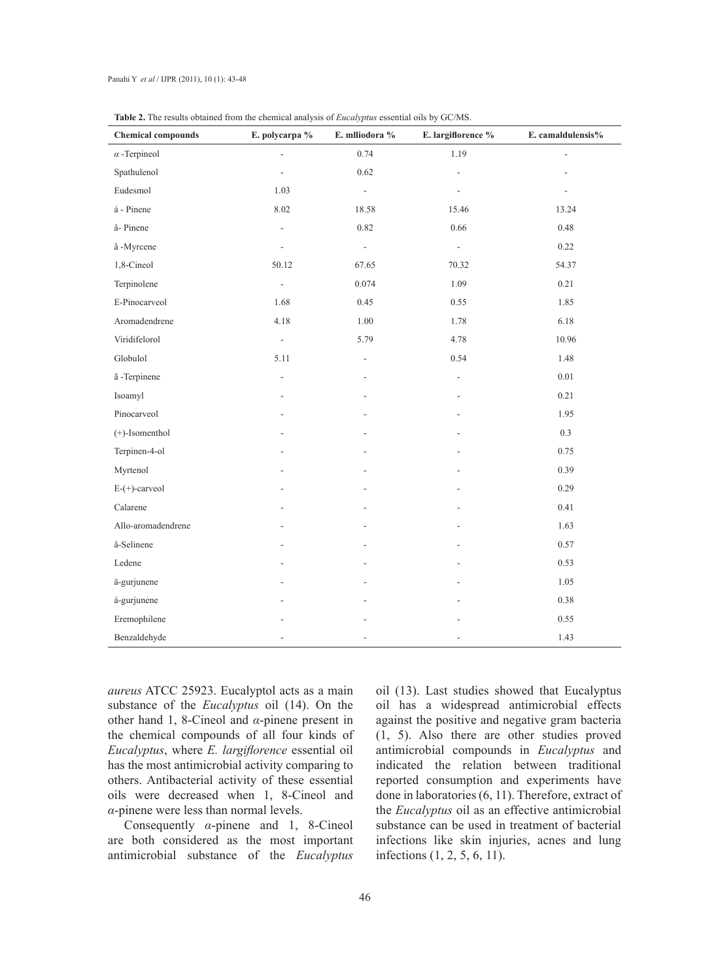| able <b>2.</b> The results obtained from the enchinear analysis of <i>Eucalypius</i> essential ons by GC/1015.<br><b>Chemical compounds</b> | E. polycarpa %           | E. mlliodora %              | E. largiflorence %       | E. camaldulensis% |
|---------------------------------------------------------------------------------------------------------------------------------------------|--------------------------|-----------------------------|--------------------------|-------------------|
| $\alpha$ -Terpineol                                                                                                                         | $\overline{\phantom{a}}$ | 0.74                        | 1.19                     | $\overline{a}$    |
| Spathulenol                                                                                                                                 | $\overline{\phantom{a}}$ | 0.62                        | $\Box$                   |                   |
| Eudesmol                                                                                                                                    | 1.03                     | $\mathcal{L}_{\mathcal{A}}$ | $\overline{\phantom{a}}$ |                   |
| á - Pinene                                                                                                                                  | 8.02                     | 18.58                       | 15.46                    | 13.24             |
| â-Pinene                                                                                                                                    | $\blacksquare$           | 0.82                        | 0.66                     | 0.48              |
| â-Myrcene                                                                                                                                   | $\frac{1}{2}$            | ÷.                          | $\blacksquare$           | 0.22              |
| 1,8-Cineol                                                                                                                                  | 50.12                    | 67.65                       | 70.32                    | 54.37             |
| Terpinolene                                                                                                                                 | $\overline{\phantom{a}}$ | 0.074                       | 1.09                     | 0.21              |
| E-Pinocarveol                                                                                                                               | 1.68                     | 0.45                        | 0.55                     | 1.85              |
| Aromadendrene                                                                                                                               | 4.18                     | 1.00                        | 1.78                     | 6.18              |
| Viridifelorol                                                                                                                               | $\Box$                   | 5.79                        | 4.78                     | 10.96             |
| Globulol                                                                                                                                    | 5.11                     | $\frac{1}{2}$               | 0.54                     | 1.48              |
| ã -Terpinene                                                                                                                                | ÷,                       | $\overline{\phantom{a}}$    | $\overline{\phantom{a}}$ | $0.01\,$          |
| Isoamyl                                                                                                                                     |                          |                             |                          | 0.21              |
| Pinocarveol                                                                                                                                 |                          |                             |                          | 1.95              |
| (+)-Isomenthol                                                                                                                              |                          |                             |                          | 0.3               |
| Terpinen-4-ol                                                                                                                               |                          |                             |                          | 0.75              |
| Myrtenol                                                                                                                                    |                          |                             |                          | 0.39              |
| $E-(+)$ -carveol                                                                                                                            |                          |                             |                          | 0.29              |
| Calarene                                                                                                                                    |                          |                             |                          | 0.41              |
| Allo-aromadendrene                                                                                                                          |                          |                             |                          | 1.63              |
| â-Selinene                                                                                                                                  |                          |                             |                          | 0.57              |
| Ledene                                                                                                                                      |                          |                             |                          | 0.53              |
| ä-gurjunene                                                                                                                                 |                          |                             |                          | 1.05              |
| á-gurjunene                                                                                                                                 |                          |                             |                          | 0.38              |
| Eremophilene                                                                                                                                |                          |                             |                          | 0.55              |
| Benzaldehyde                                                                                                                                |                          |                             |                          | 1.43              |

|  | <b>Table 2.</b> The results obtained from the chemical analysis of <i>Eucalyptus</i> essential oils by GC/MS. |
|--|---------------------------------------------------------------------------------------------------------------|
|--|---------------------------------------------------------------------------------------------------------------|

*aureus* ATCC 25923. Eucalyptol acts as a main substance of the *Eucalyptus* oil (14). On the other hand 1, 8-Cineol and *α*-pinene present in the chemical compounds of all four kinds of *Eucalyptus*, where *E. largiflorence* essential oil has the most antimicrobial activity comparing to others. Antibacterial activity of these essential oils were decreased when 1, 8-Cineol and *α*-pinene were less than normal levels.

Consequently *α*-pinene and 1, 8-Cineol are both considered as the most important antimicrobial substance of the *Eucalyptus*

oil (13). Last studies showed that Eucalyptus oil has a widespread antimicrobial effects against the positive and negative gram bacteria (1, 5). Also there are other studies proved antimicrobial compounds in *Eucalyptus* and indicated the relation between traditional reported consumption and experiments have done in laboratories (6, 11). Therefore, extract of the *Eucalyptus* oil as an effective antimicrobial substance can be used in treatment of bacterial infections like skin injuries, acnes and lung infections (1, 2, 5, 6, 11).